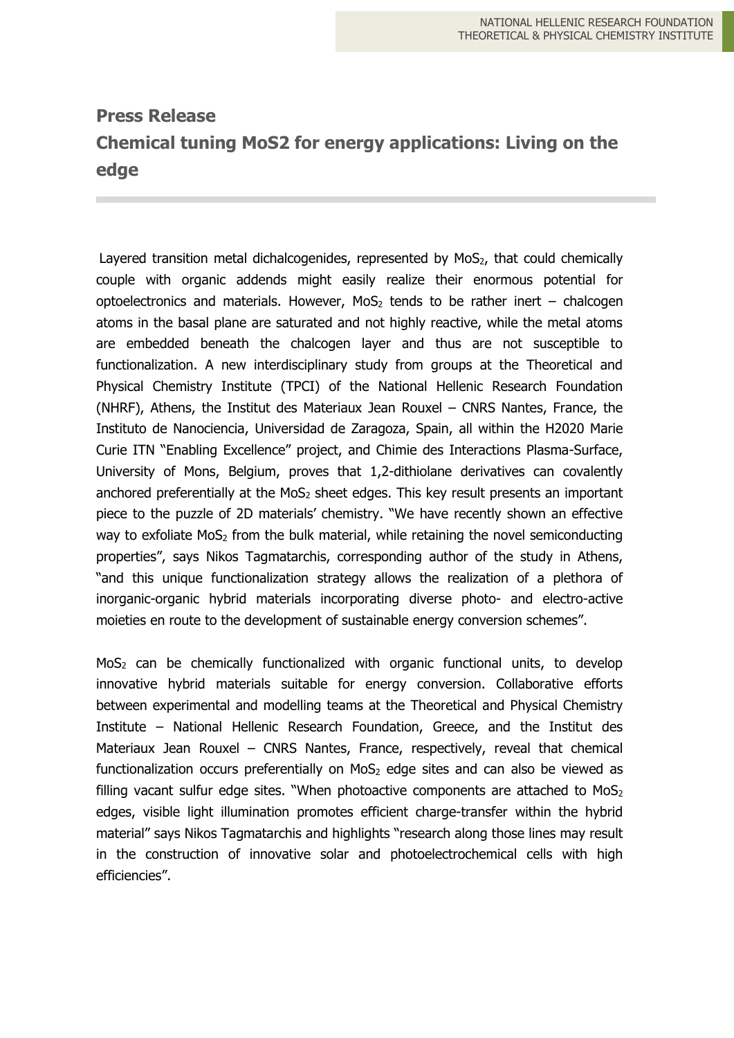## **Press Release Chemical tuning MoS2 for energy applications: Living on the edge**

Layered transition metal dichalcogenides, represented by  $MoS<sub>2</sub>$ , that could chemically couple with organic addends might easily realize their enormous potential for optoelectronics and materials. However,  $MoS<sub>2</sub>$  tends to be rather inert – chalcogen atoms in the basal plane are saturated and not highly reactive, while the metal atoms are embedded beneath the chalcogen layer and thus are not susceptible to functionalization. A new interdisciplinary study from groups at the Theoretical and Physical Chemistry Institute (TPCI) of the National Hellenic Research Foundation (NHRF), Athens, the Institut des Materiaux Jean Rouxel – CNRS Nantes, France, the Instituto de Nanociencia, Universidad de Zaragoza, Spain, all within the H2020 Marie Curie ITN "Enabling Excellence" project, and Chimie des Interactions Plasma-Surface, University of Mons, Belgium, proves that 1,2-dithiolane derivatives can covalently anchored preferentially at the MoS<sub>2</sub> sheet edges. This key result presents an important piece to the puzzle of 2D materials' chemistry. "We have recently shown an effective way to exfoliate MoS<sub>2</sub> from the bulk material, while retaining the novel semiconducting properties", says Nikos Tagmatarchis, corresponding author of the study in Athens, "and this unique functionalization strategy allows the realization of a plethora of inorganic-organic hybrid materials incorporating diverse photo- and electro-active moieties en route to the development of sustainable energy conversion schemes".

MoS<sup>2</sup> can be chemically functionalized with organic functional units, to develop innovative hybrid materials suitable for energy conversion. Collaborative efforts between experimental and modelling teams at the Theoretical and Physical Chemistry Institute – National Hellenic Research Foundation, Greece, and the Institut des Materiaux Jean Rouxel – CNRS Nantes, France, respectively, reveal that chemical functionalization occurs preferentially on  $MoS<sub>2</sub>$  edge sites and can also be viewed as filling vacant sulfur edge sites. "When photoactive components are attached to  $MoS<sub>2</sub>$ edges, visible light illumination promotes efficient charge-transfer within the hybrid material" says Nikos Tagmatarchis and highlights "research along those lines may result in the construction of innovative solar and photoelectrochemical cells with high efficiencies".